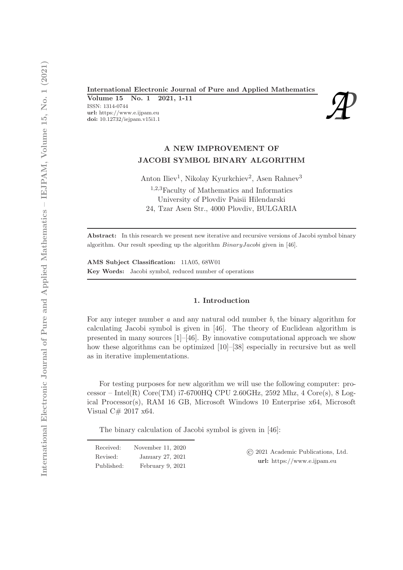International Electronic Journal of Pure and Applied Mathematics<br>
Volume 15 No. 1 2021, 1-11<br>
ISSN: 1314-0744<br>
url: https://www.e.ijpam.eu<br>
doi: 10.12732/iejpam.v15i1.1 Volume 15 No. 1 2021, 1-11 ISSN: 1314-0744 url: https://www.e.ijpam.eu



# A NEW IMPROVEMENT OF JACOBI SYMBOL BINARY ALGORITHM

Anton Iliev<sup>1</sup>, Nikolay Kyurkchiev<sup>2</sup>, Asen Rahnev<sup>3</sup>

<sup>1</sup>,2,3Faculty of Mathematics and Informatics University of Plovdiv Paisii Hilendarski 24, Tzar Asen Str., 4000 Plovdiv, BULGARIA

Abstract: In this research we present new iterative and recursive versions of Jacobi symbol binary algorithm. Our result speeding up the algorithm BinaryJacobi given in [46].

AMS Subject Classification: 11A05, 68W01 Key Words: Jacobi symbol, reduced number of operations

### 1. Introduction

For any integer number *a* and any natural odd number *b*, the binary algorithm for calculating Jacobi symbol is given in [46]. The theory of Euclidean algorithm is presented in many sources [1]–[46]. By innovative computational approach we show how these algorithms can be optimized [10]–[38] especially in recursive but as well as in iterative implementations.

For testing purposes for new algorithm we will use the following computer: processor – Intel $(R)$  Core $(TM)$  i7-6700HQ CPU 2.60GHz, 2592 Mhz, 4 Core $(s)$ , 8 Logical Processor(s), RAM 16 GB, Microsoft Windows 10 Enterprise x64, Microsoft Visual C# 2017 x64.

The binary calculation of Jacobi symbol is given in [46]:

| Received:  | November 11, 2020  |
|------------|--------------------|
| Revised:   | January 27, 2021   |
| Published: | February $9, 2021$ |

© 2021 Academic Publications, Ltd. url: https://www.e.ijpam.eu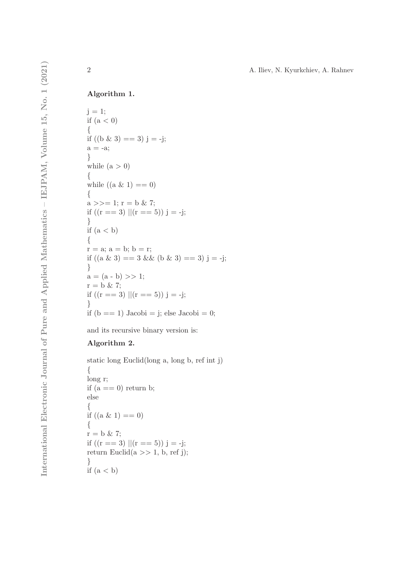## Algorithm 1.

```
j = 1;if (a < 0){
if ((b \& 3) == 3) j = -j;
a = -a;}
while (a > 0){
while ((a \& 1) == 0){
a \gg = 1; r = b \& 7;if ((r == 3) || (r == 5)) j = -j;}
if (a < b){
r = a; a = b; b = r;
if ((a \& 3) == 3 \& 2 \& (b \& 3) == 3) j = -j;}
a = (a - b) >> 1;r = b \& 7;if ((r == 3) || (r == 5)) j = -j;
}
if (b == 1) Jacobi = j; else Jacobi = 0;
```
and its recursive binary version is:

## Algorithm 2.

```
static long Euclid(long a, long b, ref int j)
{
long r;
if (a == 0) return b;
else
{
if ((a \& 1) == 0){
r = b \& 7;if ((r == 3) || (r == 5)) j = -j;return Euclid(a \gg 1, b, ref j);}
if (a < b)
```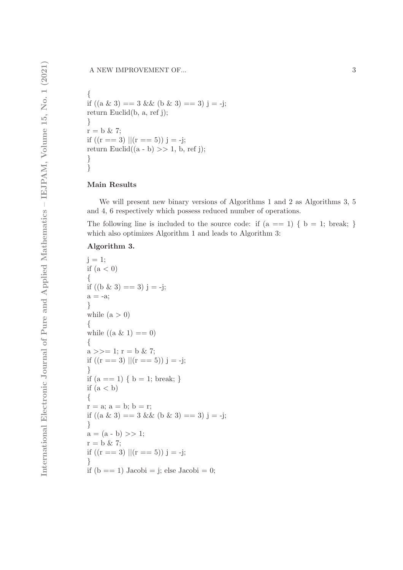{ if  $((a \& 3) == 3 \& 6 \& 3) == 3)$  j = -j; return Euclid(b, a, ref j); }  $r = b \& 7$ ; if  $((r == 3) || (r == 5)) j = -j;$ return Euclid $((a - b) >> 1, b, ref j);$ } }

### Main Results

We will present new binary versions of Algorithms 1 and 2 as Algorithms 3, 5 and 4, 6 respectively which possess reduced number of operations.

The following line is included to the source code: if  $(a == 1) \{ b = 1; break; \}$ which also optimizes Algorithm 1 and leads to Algorithm 3:

#### Algorithm 3.

```
j = 1;if (a < 0){
if ((b \& 3) == 3) j = -j;
a = -a;
}
while (a > 0){
while ((a \& 1) == 0)\{a \gg = 1; r = b \& 7;
if ((r == 3) || (r == 5)) j = -j;
}
if (a == 1) \{ b = 1; break; \}if (a < b){
r = a; a = b; b = r;
if ((a \& 3) == 3 \& 0 \& 3) == 3) j = -j;}
a = (a - b) >> 1;r = b \& 7;if ((r == 3) || (r == 5)) j = -j;}
if (b == 1) Jacobi = j; else Jacobi = 0;
```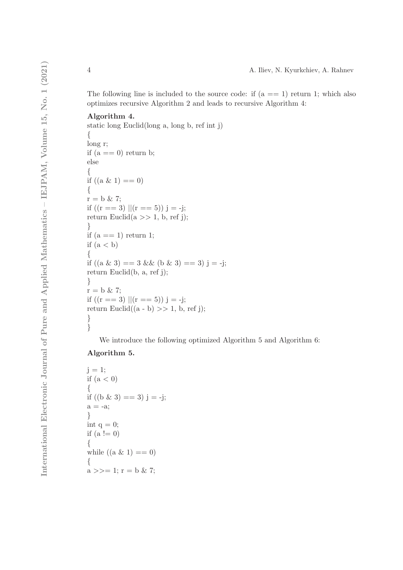The following line is included to the source code: if  $(a == 1)$  return 1; which also optimizes recursive Algorithm 2 and leads to recursive Algorithm 4:

#### Algorithm 4.

```
static long Euclid(long a, long b, ref int j)
\{long r;
if (a == 0) return b;
else
{
if ((a \& 1) == 0){
r = b \& 7;if ((r == 3) || (r == 5)) j = -j;return Euclid(a \gg 1, b, ref j);}
if (a == 1) return 1;
if (a < b){
if ((a \& 3) == 3 \& 0 \& 3) == 3) j = -j;
return Euclid(b, a, ref j);
}
r = b \& 7;if ((r == 3) || (r == 5)) j = -j;
return Euclid((a - b) >> 1, b, ref j);}
}
```
We introduce the following optimized Algorithm 5 and Algorithm 6:

## Algorithm 5.

```
j = 1;
if (a < 0){
if ((b \& 3) == 3) j = -j;
a = -a;
}
int q = 0;
if (a := 0){
while ((a \& 1) == 0){
a \gg = 1; r = b \& 7;
```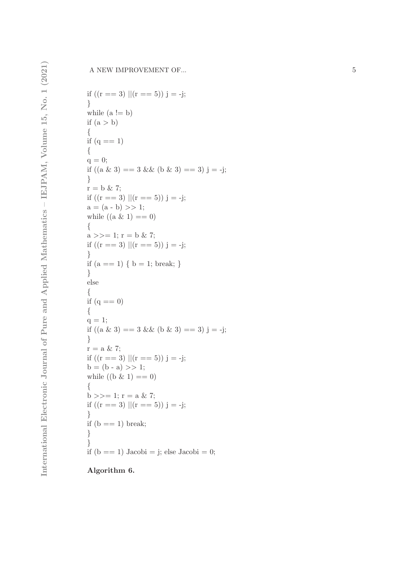if ((r == 3) ||(r == 5)) j = -j; } while (a != b) if (a > b) { if (q == 1) { q = 0; if ((a & 3) == 3 && (b & 3) == 3) j = -j; } r = b & 7; if ((r == 3) ||(r == 5)) j = -j; a = (a - b) >> 1; while ((a & 1) == 0) {a >>= 1; r = b & 7; if ((r == 3) ||(r == 5)) j = -j; } if (a == 1) { b = 1; break; } } else { if (q == 0) { q = 1; if ((a & 3) == 3 && (b & 3) == 3) j = -j; } r = a & 7; if ((r == 3) ||(r == 5)) j = -j; b = (b - a) >> 1; while ((b & 1) == 0) {b >>= 1; r = a & 7; if ((r == 3) ||(r == 5)) j = -j; } if (b == 1) break; }} if (b == 1) Jacobi = j; else Jacobi = 0; Algorithm 6.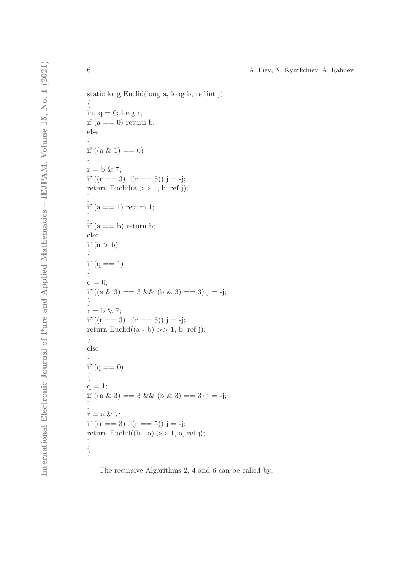static long Euclid(long a, long b, ref int j) { int  $q = 0$ ; long r; if  $(a == 0)$  return b; else { if  $((a \& 1) == 0)$ {  $r = b \& 7;$ if  $((r == 3) || (r == 5))$  j = -j; return Euclid $(a \gg 1, b, ref j);$ } if  $(a == 1)$  return 1; } if  $(a == b)$  return b; else if  $(a > b)$ { if  $(q == 1)$ {  $q = 0;$ if  $((a \& 3) == 3 \& 0 \& 3) == 3)$  j = -j; }  $r = b \& 7;$ if  $((r == 3) || (r == 5)) j = -j;$ return Euclid $((a - b) >> 1, b, ref j);$ } else { if  $(q == 0)$ {  $q = 1;$ if  $((a \& 3) == 3 \& 0 \& 3) == 3)$  j = -j; }  $r = a \& 7;$ if  $((r == 3) || (r == 5)) j = -j;$ return Euclid((b - a)  $>> 1$ , a, ref j); } }

The recursive Algorithms 2, 4 and 6 can be called by: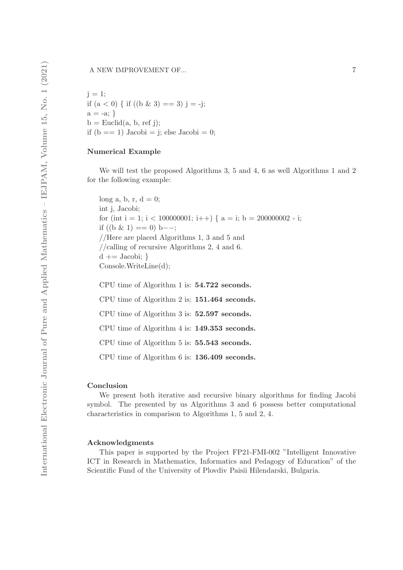$j = 1$ ; if  $(a < 0)$  { if  $((b \& 3) == 3)$  j = -j;  $a = -a; \}$  $b =$  Euclid(a, b, ref j); if  $(b == 1)$  Jacobi = j; else Jacobi = 0;

#### Numerical Example

We will test the proposed Algorithms 3, 5 and 4, 6 as well Algorithms 1 and 2 for the following example:

long a, b, r,  $d = 0$ ; int j, Jacobi; for (int i = 1; i < 100000001; i++) {  $a = i$ ; b = 200000002 - i; if  $((b \& 1) == 0)$  b--; //Here are placed Algorithms 1, 3 and 5 and //calling of recursive Algorithms 2, 4 and 6.  $d \nightharpoonup = Jacobi;$ Console.WriteLine(d);

CPU time of Algorithm 1 is: 54.722 seconds.

CPU time of Algorithm 2 is: 151.464 seconds.

CPU time of Algorithm 3 is: 52.597 seconds.

CPU time of Algorithm 4 is: 149.353 seconds.

CPU time of Algorithm 5 is: 55.543 seconds.

CPU time of Algorithm 6 is: 136.409 seconds.

#### Conclusion

We present both iterative and recursive binary algorithms for finding Jacobi symbol. The presented by us Algorithms 3 and 6 possess better computational characteristics in comparison to Algorithms 1, 5 and 2, 4.

#### Acknowledgments

This paper is supported by the Project FP21-FMI-002 "Intelligent Innovative ICT in Research in Mathematics, Informatics and Pedagogy of Education" of the Scientific Fund of the University of Plovdiv Paisii Hilendarski, Bulgaria.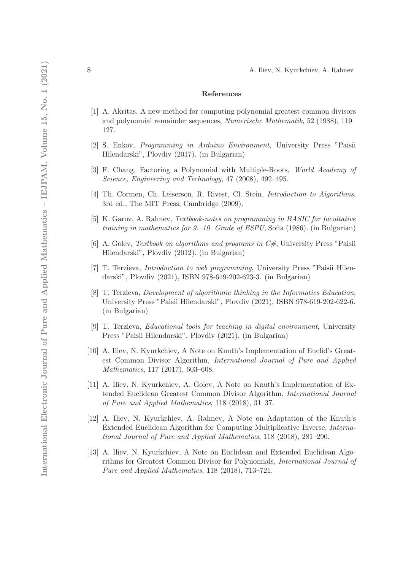#### References

- [1] A. Akritas, A new method for computing polynomial greatest common divisors and polynomial remainder sequences, *Numerische Mathematik*, 52 (1988), 119– 127.
- [2] S. Enkov, *Programming in Arduino Environment*, University Press "Paisii Hilendarski", Plovdiv (2017). (in Bulgarian)
- [3] F. Chang, Factoring a Polynomial with Multiple-Roots, *World Academy of Science, Engineering and Technology*, 47 (2008), 492–495.
- [4] Th. Cormen, Ch. Leiserson, R. Rivest, Cl. Stein, *Introduction to Algorithms*, 3rd ed., The MIT Press, Cambridge (2009).
- [5] K. Garov, A. Rahnev, *Textbook-notes on programming in BASIC for facultative training in mathematics for 9.–10. Grade of ESPU*, Sofia (1986). (in Bulgarian)
- [6] A. Golev, *Textbook on algorithms and programs in C#*, University Press "Paisii Hilendarski", Plovdiv (2012). (in Bulgarian)
- [7] T. Terzieva, *Introduction to web programming*, University Press "Paisii Hilendarski", Plovdiv (2021), ISBN 978-619-202-623-3. (in Bulgarian)
- [8] T. Terzieva, *Development of algorithmic thinking in the Informatics Education*, University Press "Paisii Hilendarski", Plovdiv (2021), ISBN 978-619-202-622-6. (in Bulgarian)
- [9] T. Terzieva, *Educational tools for teaching in digital environment*, University Press "Paisii Hilendarski", Plovdiv (2021). (in Bulgarian)
- [10] A. Iliev, N. Kyurkchiev, A Note on Knuth's Implementation of Euclid's Greatest Common Divisor Algorithm, *International Journal of Pure and Applied Mathematics*, 117 (2017), 603–608.
- [11] A. Iliev, N. Kyurkchiev, A. Golev, A Note on Knuth's Implementation of Extended Euclidean Greatest Common Divisor Algorithm, *International Journal of Pure and Applied Mathematics*, 118 (2018), 31–37.
- [12] A. Iliev, N. Kyurkchiev, A. Rahnev, A Note on Adaptation of the Knuth's Extended Euclidean Algorithm for Computing Multiplicative Inverse, *International Journal of Pure and Applied Mathematics*, 118 (2018), 281–290.
- [13] A. Iliev, N. Kyurkchiev, A Note on Euclidean and Extended Euclidean Algorithms for Greatest Common Divisor for Polynomials, *International Journal of Pure and Applied Mathematics*, 118 (2018), 713–721.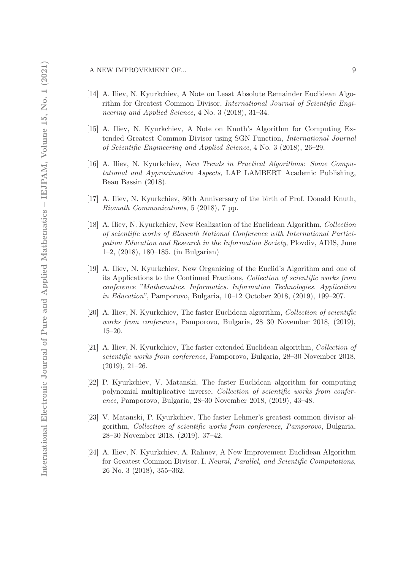A NEW IMPROVEMENT OF... 9

- [14] A. Iliev, N. Kyurkchiev, A Note on Least Absolute Remainder Euclidean Algorithm for Greatest Common Divisor, *International Journal of Scientific Engineering and Applied Science*, 4 No. 3 (2018), 31–34.
- [15] A. Iliev, N. Kyurkchiev, A Note on Knuth's Algorithm for Computing Extended Greatest Common Divisor using SGN Function, *International Journal of Scientific Engineering and Applied Science*, 4 No. 3 (2018), 26–29.
- [16] A. Iliev, N. Kyurkchiev, *New Trends in Practical Algorithms: Some Computational and Approximation Aspects*, LAP LAMBERT Academic Publishing, Beau Bassin (2018).
- [17] A. Iliev, N. Kyurkchiev, 80th Anniversary of the birth of Prof. Donald Knuth, *Biomath Communications*, 5 (2018), 7 pp.
- [18] A. Iliev, N. Kyurkchiev, New Realization of the Euclidean Algorithm, *Collection of scientific works of Eleventh National Conference with International Participation Education and Research in the Information Society*, Plovdiv, ADIS, June 1–2, (2018), 180–185. (in Bulgarian)
- [19] A. Iliev, N. Kyurkchiev, New Organizing of the Euclid's Algorithm and one of its Applications to the Continued Fractions, *Collection of scientific works from conference "Mathematics. Informatics. Information Technologies. Application in Education"*, Pamporovo, Bulgaria, 10–12 October 2018, (2019), 199–207.
- [20] A. Iliev, N. Kyurkchiev, The faster Euclidean algorithm, *Collection of scientific works from conference*, Pamporovo, Bulgaria, 28–30 November 2018, (2019), 15–20.
- [21] A. Iliev, N. Kyurkchiev, The faster extended Euclidean algorithm, *Collection of scientific works from conference*, Pamporovo, Bulgaria, 28–30 November 2018, (2019), 21–26.
- [22] P. Kyurkchiev, V. Matanski, The faster Euclidean algorithm for computing polynomial multiplicative inverse, *Collection of scientific works from conference*, Pamporovo, Bulgaria, 28–30 November 2018, (2019), 43–48.
- [23] V. Matanski, P. Kyurkchiev, The faster Lehmer's greatest common divisor algorithm, *Collection of scientific works from conference, Pamporovo*, Bulgaria, 28–30 November 2018, (2019), 37–42.
- [24] A. Iliev, N. Kyurkchiev, A. Rahnev, A New Improvement Euclidean Algorithm for Greatest Common Divisor. I, *Neural, Parallel, and Scientific Computations*, 26 No. 3 (2018), 355–362.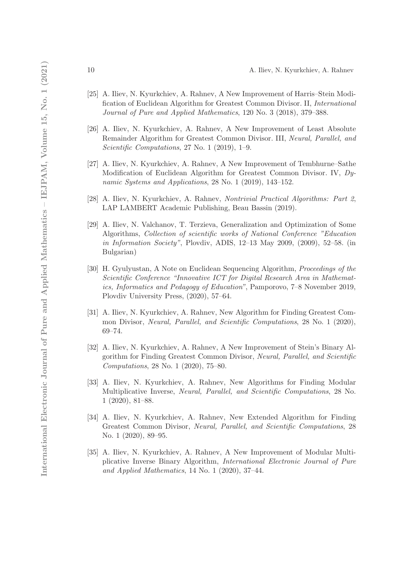- [25] A. Iliev, N. Kyurkchiev, A. Rahnev, A New Improvement of Harris–Stein Modification of Euclidean Algorithm for Greatest Common Divisor. II, *International Journal of Pure and Applied Mathematics*, 120 No. 3 (2018), 379–388.
- [26] A. Iliev, N. Kyurkchiev, A. Rahnev, A New Improvement of Least Absolute Remainder Algorithm for Greatest Common Divisor. III, *Neural, Parallel, and Scientific Computations*, 27 No. 1 (2019), 1–9.
- [27] A. Iliev, N. Kyurkchiev, A. Rahnev, A New Improvement of Tembhurne–Sathe Modification of Euclidean Algorithm for Greatest Common Divisor. IV, *Dynamic Systems and Applications*, 28 No. 1 (2019), 143–152.
- [28] A. Iliev, N. Kyurkchiev, A. Rahnev, *Nontrivial Practical Algorithms: Part 2*, LAP LAMBERT Academic Publishing, Beau Bassin (2019).
- [29] A. Iliev, N. Valchanov, T. Terzieva, Generalization and Optimization of Some Algorithms, *Collection of scientific works of National Conference "Education in Information Society"*, Plovdiv, ADIS, 12–13 May 2009, (2009), 52–58. (in Bulgarian)
- [30] H. Gyulyustan, A Note on Euclidean Sequencing Algorithm, *Proceedings of the Scientific Conference "Innovative ICT for Digital Research Area in Mathematics, Informatics and Pedagogy of Education"*, Pamporovo, 7–8 November 2019, Plovdiv University Press, (2020), 57–64.
- [31] A. Iliev, N. Kyurkchiev, A. Rahnev, New Algorithm for Finding Greatest Common Divisor, *Neural, Parallel, and Scientific Computations*, 28 No. 1 (2020), 69–74.
- [32] A. Iliev, N. Kyurkchiev, A. Rahnev, A New Improvement of Stein's Binary Algorithm for Finding Greatest Common Divisor, *Neural, Parallel, and Scientific Computations*, 28 No. 1 (2020), 75–80.
- [33] A. Iliev, N. Kyurkchiev, A. Rahnev, New Algorithms for Finding Modular Multiplicative Inverse, *Neural, Parallel, and Scientific Computations*, 28 No. 1 (2020), 81–88.
- [34] A. Iliev, N. Kyurkchiev, A. Rahnev, New Extended Algorithm for Finding Greatest Common Divisor, *Neural, Parallel, and Scientific Computations*, 28 No. 1 (2020), 89–95.
- [35] A. Iliev, N. Kyurkchiev, A. Rahnev, A New Improvement of Modular Multiplicative Inverse Binary Algorithm, *International Electronic Journal of Pure and Applied Mathematics*, 14 No. 1 (2020), 37–44.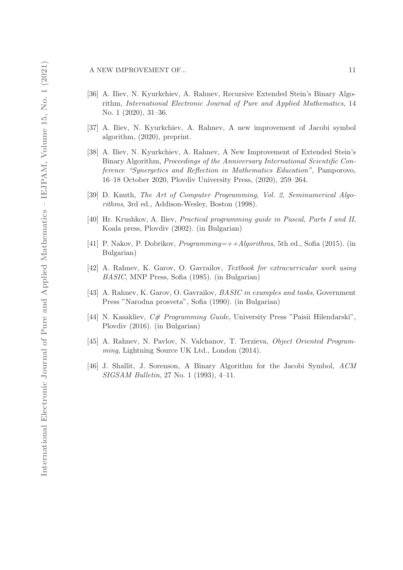- [36] A. Iliev, N. Kyurkchiev, A. Rahnev, Recursive Extended Stein's Binary Algorithm, *International Electronic Journal of Pure and Applied Mathematics*, 14 No. 1 (2020), 31–36.
- [37] A. Iliev, N. Kyurkchiev, A. Rahnev, A new improvement of Jacobi symbol algorithm, (2020), preprint.
- [38] A. Iliev, N. Kyurkchiev, A. Rahnev, A New Improvement of Extended Stein's Binary Algorithm, *Proceedings of the Anniversary International Scientific Conference "Synergetics and Reflection in Mathematics Education"*, Pamporovo, 16–18 October 2020, Plovdiv University Press, (2020), 259–264.
- [39] D. Knuth, *The Art of Computer Programming*, *Vol. 2, Seminumerical Algorithms*, 3rd ed., Addison-Wesley, Boston (1998).
- [40] Hr. Krushkov, A. Iliev, *Practical programming guide in Pascal, Parts I and II*, Koala press, Plovdiv (2002). (in Bulgarian)
- [41] P. Nakov, P. Dobrikov, *Programming=++Algorithms*, 5th ed., Sofia (2015). (in Bulgarian)
- [42] A. Rahnev, K. Garov, O. Gavrailov, *Textbook for extracurricular work using BASIC*, MNP Press, Sofia (1985). (in Bulgarian)
- [43] A. Rahnev, K. Garov, O. Gavrailov, *BASIC in examples and tasks*, Government Press "Narodna prosveta", Sofia (1990). (in Bulgarian)
- [44] N. Kasakliev, *C# Programming Guide*, University Press "Paisii Hilendarski", Plovdiv (2016). (in Bulgarian)
- [45] A. Rahnev, N. Pavlov, N. Valchanov, T. Terzieva, *Object Oriented Programming*, Lightning Source UK Ltd., London (2014).
- [46] J. Shallit, J. Sorenson, A Binary Algorithm for the Jacobi Symbol, *ACM SIGSAM Bulletin*, 27 No. 1 (1993), 4–11.